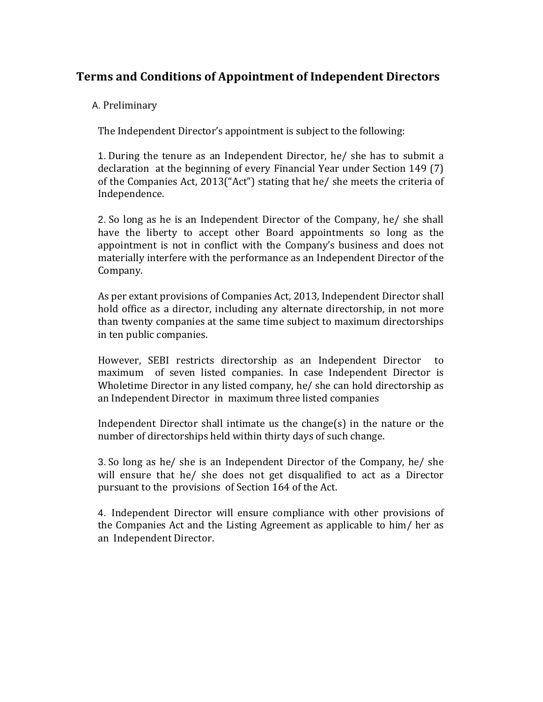# **Terms and Conditions of Appointment of Independent Directors**

### A. Preliminary

The Independent Director's appointment is subject to the following:

1. During the tenure as an Independent Director, he/ she has to submit a declaration at the beginning of every Financial Year under Section 149 (7) of the Companies Act, 2013("Act") stating that he/ she meets the criteria of Independence.

2. So long as he is an Independent Director of the Company, he/ she shall have the liberty to accept other Board appointments so long as the appointment is not in conflict with the Company's business and does not materially interfere with the performance as an Independent Director of the Company.

As per extant provisions of Companies Act, 2013, Independent Director shall hold office as a director, including any alternate directorship, in not more than twenty companies at the same time subject to maximum directorships in ten public companies.

However, SEBI restricts directorship as an Independent Director to maximum of seven listed companies. In case Independent Director is Wholetime Director in any listed company, he/ she can hold directorship as an Independent Director in maximum three listed companies

Independent Director shall intimate us the change(s) in the nature or the number of directorships held within thirty days of such change.

3.So long as he/ she is an Independent Director of the Company, he/ she will ensure that he/ she does not get disqualified to act as a Director pursuant to the provisions of Section 164 of the Act.

4. Independent Director will ensure compliance with other provisions of the Companies Act and the Listing Agreement as applicable to him/ her as an Independent Director.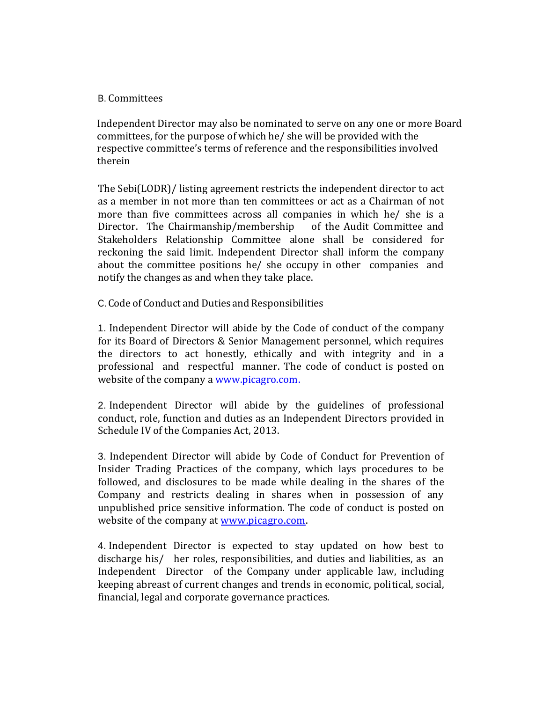#### B. Committees

 Independent Director may also be nominated to serve on any one or more Board committees, for the purpose of which he/ she will be provided with the respective committee's terms of reference and the responsibilities involved therein

The Sebi(LODR)/ listing agreement restricts the independent director to act as a member in not more than ten committees or act as a Chairman of not more than five committees across all companies in which he/ she is a Director. The Chairmanship/membership of the Audit Committee and Stakeholders Relationship Committee alone shall be considered for reckoning the said limit. Independent Director shall inform the company about the committee positions he/ she occupy in other companies and notify the changes as and when they take place.

C.Code of Conduct and Duties and Responsibilities

1. Independent Director will abide by the Code of conduct of the company for its Board of Directors & Senior Management personnel, which requires the directors to act honestly, ethically and with integrity and in a professional and respectful manner. The code of conduct is posted on website of the company a www.picagro.com.

2. Independent Director will abide by the guidelines of professional conduct, role, function and duties as an Independent Directors provided in Schedule IV of the Companies Act, 2013.

3. Independent Director will abide by Code of Conduct for Prevention of Insider Trading Practices of the company, which lays procedures to be followed, and disclosures to be made while dealing in the shares of the Company and restricts dealing in shares when in possession of any unpublished price sensitive information. The code of conduct is posted on website of the company at [www.picagro.com.](http://www.picagro.com/)

4. Independent Director is expected to stay updated on how best to discharge his/ her roles, responsibilities, and duties and liabilities, as an Independent Director of the Company under applicable law, including keeping abreast of current changes and trends in economic, political, social, financial, legal and corporate governance practices.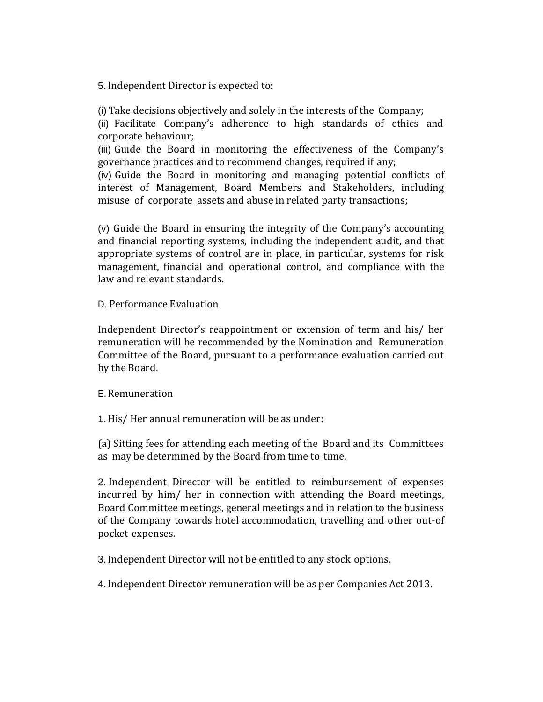5. Independent Director is expected to:

(i) Take decisions objectively and solely in the interests of the Company;

(ii) Facilitate Company's adherence to high standards of ethics and corporate behaviour;

(iii) Guide the Board in monitoring the effectiveness of the Company's governance practices and to recommend changes, required if any;

(iv) Guide the Board in monitoring and managing potential conflicts of interest of Management, Board Members and Stakeholders, including misuse of corporate assets and abuse in related party transactions;

(v) Guide the Board in ensuring the integrity of the Company's accounting and financial reporting systems, including the independent audit, and that appropriate systems of control are in place, in particular, systems for risk management, financial and operational control, and compliance with the law and relevant standards.

D. Performance Evaluation

Independent Director's reappointment or extension of term and his/ her remuneration will be recommended by the Nomination and Remuneration Committee of the Board, pursuant to a performance evaluation carried out by the Board.

#### E.Remuneration

1.His/ Her annual remuneration will be as under:

(a) Sitting fees for attending each meeting of the Board and its Committees as may be determined by the Board from time to time,

2. Independent Director will be entitled to reimbursement of expenses incurred by him/ her in connection with attending the Board meetings, Board Committee meetings, general meetings and in relation to the business of the Company towards hotel accommodation, travelling and other out-of pocket expenses.

3. Independent Director will not be entitled to any stock options.

4. Independent Director remuneration will be as per Companies Act 2013.